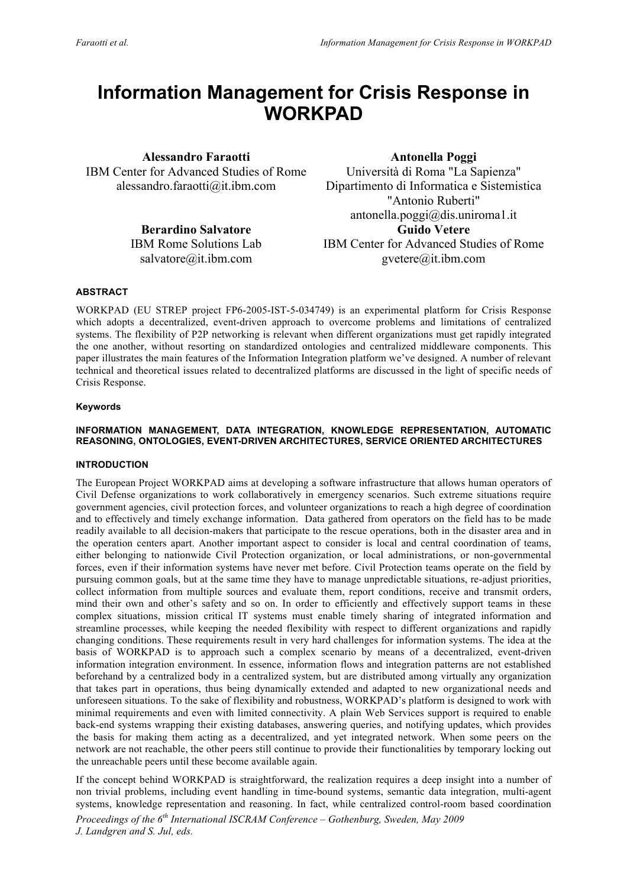# **Information Management for Crisis Response in WORKPAD**

**Alessandro Faraotti** IBM Center for Advanced Studies of Rome alessandro.faraotti@it.ibm.com

> **Berardino Salvatore** IBM Rome Solutions Lab salvatore@it.ibm.com

**Antonella Poggi** Università di Roma "La Sapienza" Dipartimento di Informatica e Sistemistica "Antonio Ruberti" antonella.poggi@dis.uniroma1.it **Guido Vetere** IBM Center for Advanced Studies of Rome gvetere@it.ibm.com

# **ABSTRACT**

WORKPAD (EU STREP project FP6-2005-IST-5-034749) is an experimental platform for Crisis Response which adopts a decentralized, event-driven approach to overcome problems and limitations of centralized systems. The flexibility of P2P networking is relevant when different organizations must get rapidly integrated the one another, without resorting on standardized ontologies and centralized middleware components. This paper illustrates the main features of the Information Integration platform we've designed. A number of relevant technical and theoretical issues related to decentralized platforms are discussed in the light of specific needs of Crisis Response.

# **Keywords**

#### **INFORMATION MANAGEMENT, DATA INTEGRATION, KNOWLEDGE REPRESENTATION, AUTOMATIC REASONING, ONTOLOGIES, EVENT-DRIVEN ARCHITECTURES, SERVICE ORIENTED ARCHITECTURES**

# **INTRODUCTION**

The European Project WORKPAD aims at developing a software infrastructure that allows human operators of Civil Defense organizations to work collaboratively in emergency scenarios. Such extreme situations require government agencies, civil protection forces, and volunteer organizations to reach a high degree of coordination and to effectively and timely exchange information. Data gathered from operators on the field has to be made readily available to all decision-makers that participate to the rescue operations, both in the disaster area and in the operation centers apart. Another important aspect to consider is local and central coordination of teams, either belonging to nationwide Civil Protection organization, or local administrations, or non-governmental forces, even if their information systems have never met before. Civil Protection teams operate on the field by pursuing common goals, but at the same time they have to manage unpredictable situations, re-adjust priorities, collect information from multiple sources and evaluate them, report conditions, receive and transmit orders, mind their own and other's safety and so on. In order to efficiently and effectively support teams in these complex situations, mission critical IT systems must enable timely sharing of integrated information and streamline processes, while keeping the needed flexibility with respect to different organizations and rapidly changing conditions. These requirements result in very hard challenges for information systems. The idea at the basis of WORKPAD is to approach such a complex scenario by means of a decentralized, event-driven information integration environment. In essence, information flows and integration patterns are not established beforehand by a centralized body in a centralized system, but are distributed among virtually any organization that takes part in operations, thus being dynamically extended and adapted to new organizational needs and unforeseen situations. To the sake of flexibility and robustness, WORKPAD's platform is designed to work with minimal requirements and even with limited connectivity. A plain Web Services support is required to enable back-end systems wrapping their existing databases, answering queries, and notifying updates, which provides the basis for making them acting as a decentralized, and yet integrated network. When some peers on the network are not reachable, the other peers still continue to provide their functionalities by temporary locking out the unreachable peers until these become available again.

If the concept behind WORKPAD is straightforward, the realization requires a deep insight into a number of non trivial problems, including event handling in time-bound systems, semantic data integration, multi-agent systems, knowledge representation and reasoning. In fact, while centralized control-room based coordination

*Proceedings of the 6th International ISCRAM Conference – Gothenburg, Sweden, May 2009 J. Landgren and S. Jul, eds.*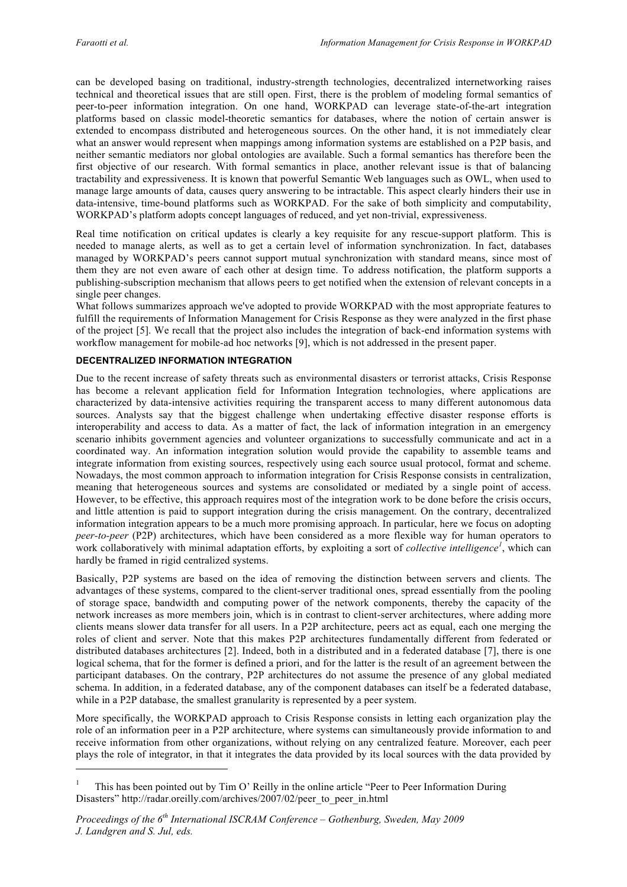$\overline{a}$ 

can be developed basing on traditional, industry-strength technologies, decentralized internetworking raises technical and theoretical issues that are still open. First, there is the problem of modeling formal semantics of peer-to-peer information integration. On one hand, WORKPAD can leverage state-of-the-art integration platforms based on classic model-theoretic semantics for databases, where the notion of certain answer is extended to encompass distributed and heterogeneous sources. On the other hand, it is not immediately clear what an answer would represent when mappings among information systems are established on a P2P basis, and neither semantic mediators nor global ontologies are available. Such a formal semantics has therefore been the first objective of our research. With formal semantics in place, another relevant issue is that of balancing tractability and expressiveness. It is known that powerful Semantic Web languages such as OWL, when used to manage large amounts of data, causes query answering to be intractable. This aspect clearly hinders their use in data-intensive, time-bound platforms such as WORKPAD. For the sake of both simplicity and computability, WORKPAD's platform adopts concept languages of reduced, and yet non-trivial, expressiveness.

Real time notification on critical updates is clearly a key requisite for any rescue-support platform. This is needed to manage alerts, as well as to get a certain level of information synchronization. In fact, databases managed by WORKPAD's peers cannot support mutual synchronization with standard means, since most of them they are not even aware of each other at design time. To address notification, the platform supports a publishing-subscription mechanism that allows peers to get notified when the extension of relevant concepts in a single peer changes.

What follows summarizes approach we've adopted to provide WORKPAD with the most appropriate features to fulfill the requirements of Information Management for Crisis Response as they were analyzed in the first phase of the project [5]. We recall that the project also includes the integration of back-end information systems with workflow management for mobile-ad hoc networks [9], which is not addressed in the present paper.

# **DECENTRALIZED INFORMATION INTEGRATION**

Due to the recent increase of safety threats such as environmental disasters or terrorist attacks, Crisis Response has become a relevant application field for Information Integration technologies, where applications are characterized by data-intensive activities requiring the transparent access to many different autonomous data sources. Analysts say that the biggest challenge when undertaking effective disaster response efforts is interoperability and access to data. As a matter of fact, the lack of information integration in an emergency scenario inhibits government agencies and volunteer organizations to successfully communicate and act in a coordinated way. An information integration solution would provide the capability to assemble teams and integrate information from existing sources, respectively using each source usual protocol, format and scheme. Nowadays, the most common approach to information integration for Crisis Response consists in centralization, meaning that heterogeneous sources and systems are consolidated or mediated by a single point of access. However, to be effective, this approach requires most of the integration work to be done before the crisis occurs, and little attention is paid to support integration during the crisis management. On the contrary, decentralized information integration appears to be a much more promising approach. In particular, here we focus on adopting *peer-to-peer* (P2P) architectures, which have been considered as a more flexible way for human operators to work collaboratively with minimal adaptation efforts, by exploiting a sort of *collective intelligence<sup>1</sup>* , which can hardly be framed in rigid centralized systems.

Basically, P2P systems are based on the idea of removing the distinction between servers and clients. The advantages of these systems, compared to the client-server traditional ones, spread essentially from the pooling of storage space, bandwidth and computing power of the network components, thereby the capacity of the network increases as more members join, which is in contrast to client-server architectures, where adding more clients means slower data transfer for all users. In a P2P architecture, peers act as equal, each one merging the roles of client and server. Note that this makes P2P architectures fundamentally different from federated or distributed databases architectures [2]. Indeed, both in a distributed and in a federated database [7], there is one logical schema, that for the former is defined a priori, and for the latter is the result of an agreement between the participant databases. On the contrary, P2P architectures do not assume the presence of any global mediated schema. In addition, in a federated database, any of the component databases can itself be a federated database, while in a P2P database, the smallest granularity is represented by a peer system.

More specifically, the WORKPAD approach to Crisis Response consists in letting each organization play the role of an information peer in a P2P architecture, where systems can simultaneously provide information to and receive information from other organizations, without relying on any centralized feature. Moreover, each peer plays the role of integrator, in that it integrates the data provided by its local sources with the data provided by

<sup>1</sup> This has been pointed out by Tim O' Reilly in the online article "Peer to Peer Information During Disasters" http://radar.oreilly.com/archives/2007/02/peer\_to\_peer\_in.html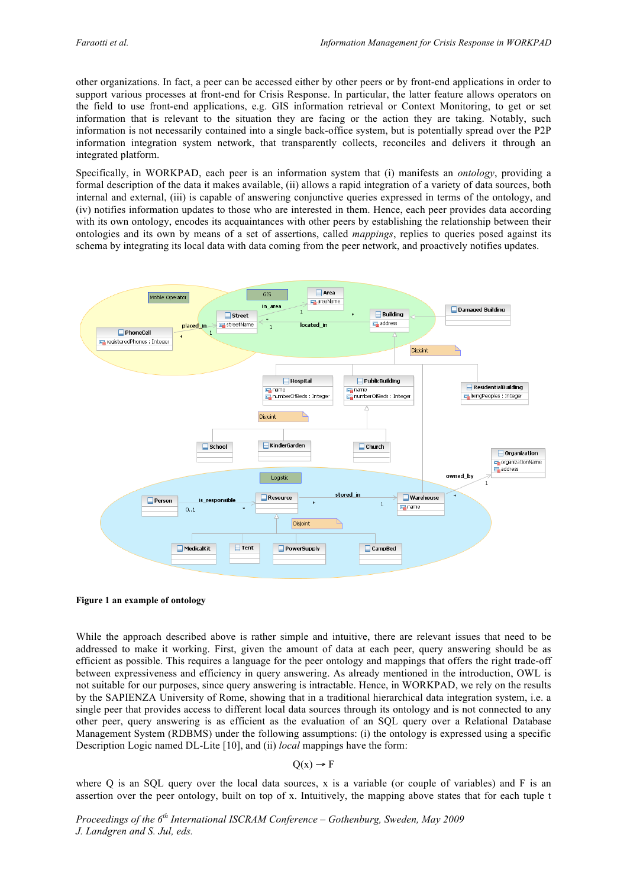other organizations. In fact, a peer can be accessed either by other peers or by front-end applications in order to support various processes at front-end for Crisis Response. In particular, the latter feature allows operators on the field to use front-end applications, e.g. GIS information retrieval or Context Monitoring, to get or set information that is relevant to the situation they are facing or the action they are taking. Notably, such information is not necessarily contained into a single back-office system, but is potentially spread over the P2P information integration system network, that transparently collects, reconciles and delivers it through an integrated platform.

Specifically, in WORKPAD, each peer is an information system that (i) manifests an *ontology*, providing a formal description of the data it makes available, (ii) allows a rapid integration of a variety of data sources, both internal and external, (iii) is capable of answering conjunctive queries expressed in terms of the ontology, and (iv) notifies information updates to those who are interested in them. Hence, each peer provides data according with its own ontology, encodes its acquaintances with other peers by establishing the relationship between their ontologies and its own by means of a set of assertions, called *mappings*, replies to queries posed against its schema by integrating its local data with data coming from the peer network, and proactively notifies updates.



#### **Figure 1 an example of ontology**

While the approach described above is rather simple and intuitive, there are relevant issues that need to be addressed to make it working. First, given the amount of data at each peer, query answering should be as efficient as possible. This requires a language for the peer ontology and mappings that offers the right trade-off between expressiveness and efficiency in query answering. As already mentioned in the introduction, OWL is not suitable for our purposes, since query answering is intractable. Hence, in WORKPAD, we rely on the results by the SAPIENZA University of Rome, showing that in a traditional hierarchical data integration system, i.e. a single peer that provides access to different local data sources through its ontology and is not connected to any other peer, query answering is as efficient as the evaluation of an SQL query over a Relational Database Management System (RDBMS) under the following assumptions: (i) the ontology is expressed using a specific Description Logic named DL-Lite [10], and (ii) *local* mappings have the form:

$$
Q(x) \to F
$$

where Q is an SQL query over the local data sources, x is a variable (or couple of variables) and  $F$  is an assertion over the peer ontology, built on top of x. Intuitively, the mapping above states that for each tuple t

*Proceedings of the 6th International ISCRAM Conference – Gothenburg, Sweden, May 2009 J. Landgren and S. Jul, eds.*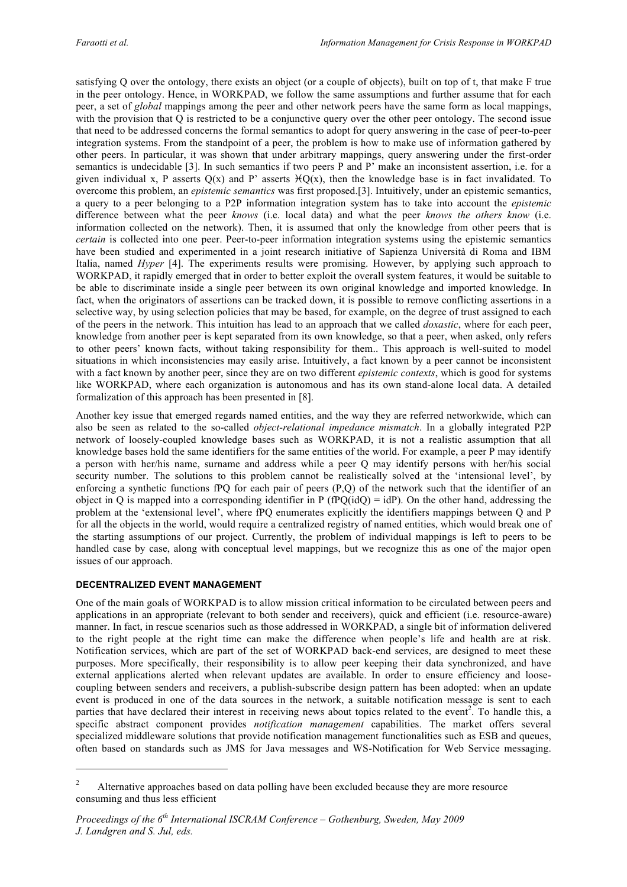satisfying Q over the ontology, there exists an object (or a couple of objects), built on top of t, that make F true in the peer ontology. Hence, in WORKPAD, we follow the same assumptions and further assume that for each peer, a set of *global* mappings among the peer and other network peers have the same form as local mappings, with the provision that Q is restricted to be a conjunctive query over the other peer ontology. The second issue that need to be addressed concerns the formal semantics to adopt for query answering in the case of peer-to-peer integration systems. From the standpoint of a peer, the problem is how to make use of information gathered by other peers. In particular, it was shown that under arbitrary mappings, query answering under the first-order semantics is undecidable [3]. In such semantics if two peers P and P' make an inconsistent assertion, i.e. for a given individual x, P asserts  $Q(x)$  and P' asserts  $\angle{Q(x)}$ , then the knowledge base is in fact invalidated. To overcome this problem, an *epistemic semantics* was first proposed.[3]. Intuitively, under an epistemic semantics, a query to a peer belonging to a P2P information integration system has to take into account the *epistemic* difference between what the peer *knows* (i.e. local data) and what the peer *knows the others know* (i.e. information collected on the network). Then, it is assumed that only the knowledge from other peers that is *certain* is collected into one peer. Peer-to-peer information integration systems using the epistemic semantics have been studied and experimented in a joint research initiative of Sapienza Università di Roma and IBM Italia, named *Hyper* [4]. The experiments results were promising. However, by applying such approach to WORKPAD, it rapidly emerged that in order to better exploit the overall system features, it would be suitable to be able to discriminate inside a single peer between its own original knowledge and imported knowledge. In fact, when the originators of assertions can be tracked down, it is possible to remove conflicting assertions in a selective way, by using selection policies that may be based, for example, on the degree of trust assigned to each of the peers in the network. This intuition has lead to an approach that we called *doxastic*, where for each peer, knowledge from another peer is kept separated from its own knowledge, so that a peer, when asked, only refers to other peers' known facts, without taking responsibility for them.. This approach is well-suited to model situations in which inconsistencies may easily arise. Intuitively, a fact known by a peer cannot be inconsistent with a fact known by another peer, since they are on two different *epistemic contexts*, which is good for systems like WORKPAD, where each organization is autonomous and has its own stand-alone local data. A detailed formalization of this approach has been presented in [8].

Another key issue that emerged regards named entities, and the way they are referred networkwide, which can also be seen as related to the so-called *object-relational impedance mismatch*. In a globally integrated P2P network of loosely-coupled knowledge bases such as WORKPAD, it is not a realistic assumption that all knowledge bases hold the same identifiers for the same entities of the world. For example, a peer P may identify a person with her/his name, surname and address while a peer Q may identify persons with her/his social security number. The solutions to this problem cannot be realistically solved at the 'intensional level', by enforcing a synthetic functions fPQ for each pair of peers (P,Q) of the network such that the identifier of an object in Q is mapped into a corresponding identifier in P ( $fPQ(idQ) = idP$ ). On the other hand, addressing the problem at the 'extensional level', where fPQ enumerates explicitly the identifiers mappings between Q and P for all the objects in the world, would require a centralized registry of named entities, which would break one of the starting assumptions of our project. Currently, the problem of individual mappings is left to peers to be handled case by case, along with conceptual level mappings, but we recognize this as one of the major open issues of our approach.

# **DECENTRALIZED EVENT MANAGEMENT**

 $\overline{a}$ 

One of the main goals of WORKPAD is to allow mission critical information to be circulated between peers and applications in an appropriate (relevant to both sender and receivers), quick and efficient (i.e. resource-aware) manner. In fact, in rescue scenarios such as those addressed in WORKPAD, a single bit of information delivered to the right people at the right time can make the difference when people's life and health are at risk. Notification services, which are part of the set of WORKPAD back-end services, are designed to meet these purposes. More specifically, their responsibility is to allow peer keeping their data synchronized, and have external applications alerted when relevant updates are available. In order to ensure efficiency and loosecoupling between senders and receivers, a publish-subscribe design pattern has been adopted: when an update event is produced in one of the data sources in the network, a suitable notification message is sent to each parties that have declared their interest in receiving news about topics related to the event<sup>2</sup>. To handle this, a specific abstract component provides *notification management* capabilities. The market offers several specialized middleware solutions that provide notification management functionalities such as ESB and queues, often based on standards such as JMS for Java messages and WS-Notification for Web Service messaging.

<sup>&</sup>lt;sup>2</sup> Alternative approaches based on data polling have been excluded because they are more resource consuming and thus less efficient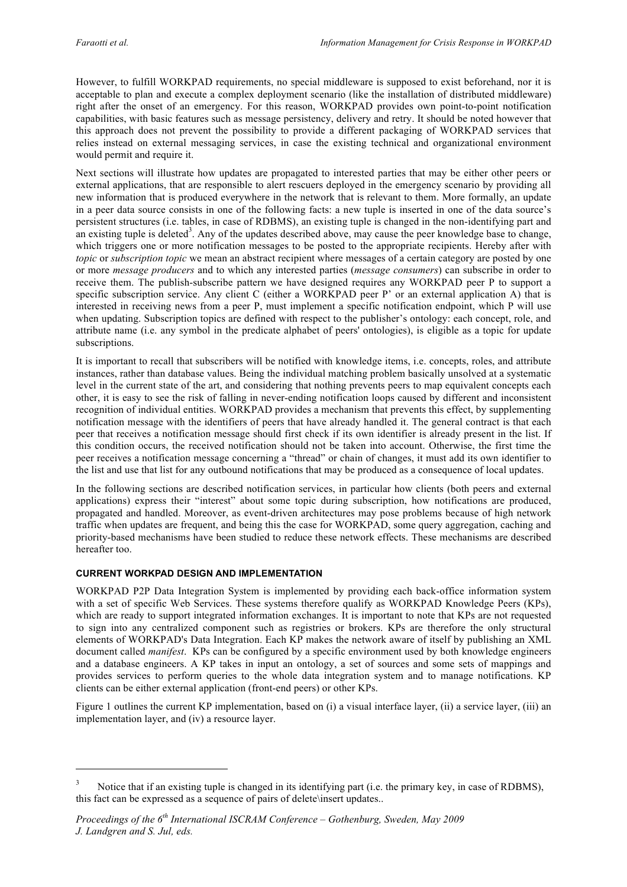However, to fulfill WORKPAD requirements, no special middleware is supposed to exist beforehand, nor it is acceptable to plan and execute a complex deployment scenario (like the installation of distributed middleware) right after the onset of an emergency. For this reason, WORKPAD provides own point-to-point notification capabilities, with basic features such as message persistency, delivery and retry. It should be noted however that this approach does not prevent the possibility to provide a different packaging of WORKPAD services that relies instead on external messaging services, in case the existing technical and organizational environment would permit and require it.

Next sections will illustrate how updates are propagated to interested parties that may be either other peers or external applications, that are responsible to alert rescuers deployed in the emergency scenario by providing all new information that is produced everywhere in the network that is relevant to them. More formally, an update in a peer data source consists in one of the following facts: a new tuple is inserted in one of the data source's persistent structures (i.e. tables, in case of RDBMS), an existing tuple is changed in the non-identifying part and an existing tuple is deleted<sup>3</sup>. Any of the updates described above, may cause the peer knowledge base to change, which triggers one or more notification messages to be posted to the appropriate recipients. Hereby after with *topic* or *subscription topic* we mean an abstract recipient where messages of a certain category are posted by one or more *message producers* and to which any interested parties (*message consumers*) can subscribe in order to receive them. The publish-subscribe pattern we have designed requires any WORKPAD peer P to support a specific subscription service. Any client C (either a WORKPAD peer P' or an external application A) that is interested in receiving news from a peer P, must implement a specific notification endpoint, which P will use when updating. Subscription topics are defined with respect to the publisher's ontology: each concept, role, and attribute name (i.e. any symbol in the predicate alphabet of peers' ontologies), is eligible as a topic for update subscriptions.

It is important to recall that subscribers will be notified with knowledge items, i.e. concepts, roles, and attribute instances, rather than database values. Being the individual matching problem basically unsolved at a systematic level in the current state of the art, and considering that nothing prevents peers to map equivalent concepts each other, it is easy to see the risk of falling in never-ending notification loops caused by different and inconsistent recognition of individual entities. WORKPAD provides a mechanism that prevents this effect, by supplementing notification message with the identifiers of peers that have already handled it. The general contract is that each peer that receives a notification message should first check if its own identifier is already present in the list. If this condition occurs, the received notification should not be taken into account. Otherwise, the first time the peer receives a notification message concerning a "thread" or chain of changes, it must add its own identifier to the list and use that list for any outbound notifications that may be produced as a consequence of local updates.

In the following sections are described notification services, in particular how clients (both peers and external applications) express their "interest" about some topic during subscription, how notifications are produced, propagated and handled. Moreover, as event-driven architectures may pose problems because of high network traffic when updates are frequent, and being this the case for WORKPAD, some query aggregation, caching and priority-based mechanisms have been studied to reduce these network effects. These mechanisms are described hereafter too.

# **CURRENT WORKPAD DESIGN AND IMPLEMENTATION**

 $\overline{a}$ 

WORKPAD P2P Data Integration System is implemented by providing each back-office information system with a set of specific Web Services. These systems therefore qualify as WORKPAD Knowledge Peers (KPs), which are ready to support integrated information exchanges. It is important to note that KPs are not requested to sign into any centralized component such as registries or brokers. KPs are therefore the only structural elements of WORKPAD's Data Integration. Each KP makes the network aware of itself by publishing an XML document called *manifest*. KPs can be configured by a specific environment used by both knowledge engineers and a database engineers. A KP takes in input an ontology, a set of sources and some sets of mappings and provides services to perform queries to the whole data integration system and to manage notifications. KP clients can be either external application (front-end peers) or other KPs.

Figure 1 outlines the current KP implementation, based on (i) a visual interface layer, (ii) a service layer, (iii) an implementation layer, and (iv) a resource layer.

<sup>3</sup> Notice that if an existing tuple is changed in its identifying part (i.e. the primary key, in case of RDBMS), this fact can be expressed as a sequence of pairs of delete\insert updates..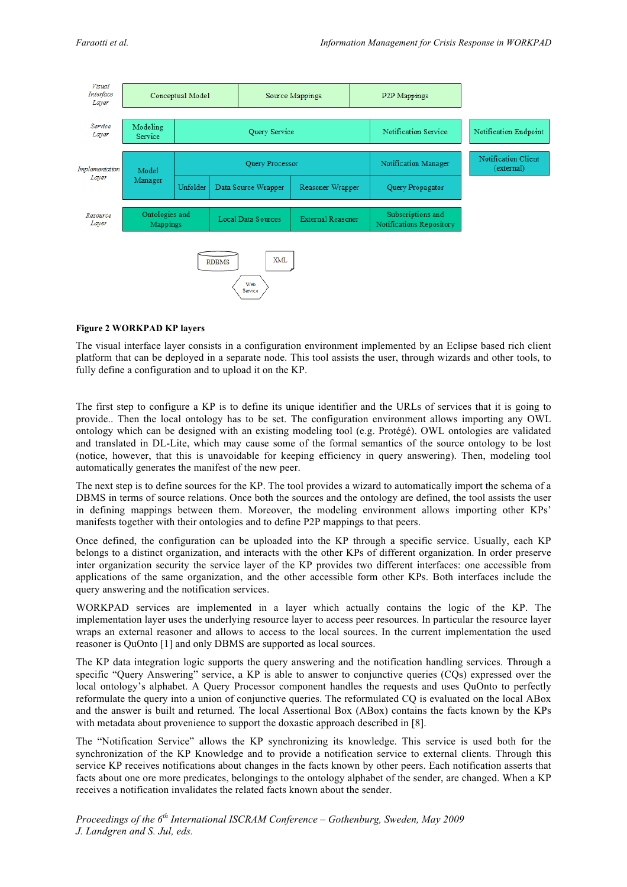

#### **Figure 2 WORKPAD KP layers**

The visual interface layer consists in a configuration environment implemented by an Eclipse based rich client platform that can be deployed in a separate node. This tool assists the user, through wizards and other tools, to fully define a configuration and to upload it on the KP.

The first step to configure a KP is to define its unique identifier and the URLs of services that it is going to provide.. Then the local ontology has to be set. The configuration environment allows importing any OWL ontology which can be designed with an existing modeling tool (e.g. Protégé). OWL ontologies are validated and translated in DL-Lite, which may cause some of the formal semantics of the source ontology to be lost (notice, however, that this is unavoidable for keeping efficiency in query answering). Then, modeling tool automatically generates the manifest of the new peer.

The next step is to define sources for the KP. The tool provides a wizard to automatically import the schema of a DBMS in terms of source relations. Once both the sources and the ontology are defined, the tool assists the user in defining mappings between them. Moreover, the modeling environment allows importing other KPs' manifests together with their ontologies and to define P2P mappings to that peers.

Once defined, the configuration can be uploaded into the KP through a specific service. Usually, each KP belongs to a distinct organization, and interacts with the other KPs of different organization. In order preserve inter organization security the service layer of the KP provides two different interfaces: one accessible from applications of the same organization, and the other accessible form other KPs. Both interfaces include the query answering and the notification services.

WORKPAD services are implemented in a layer which actually contains the logic of the KP. The implementation layer uses the underlying resource layer to access peer resources. In particular the resource layer wraps an external reasoner and allows to access to the local sources. In the current implementation the used reasoner is QuOnto [1] and only DBMS are supported as local sources.

The KP data integration logic supports the query answering and the notification handling services. Through a specific "Query Answering" service, a KP is able to answer to conjunctive queries (CQs) expressed over the local ontology's alphabet. A Query Processor component handles the requests and uses QuOnto to perfectly reformulate the query into a union of conjunctive queries. The reformulated CQ is evaluated on the local ABox and the answer is built and returned. The local Assertional Box (ABox) contains the facts known by the KPs with metadata about provenience to support the doxastic approach described in [8].

The "Notification Service" allows the KP synchronizing its knowledge. This service is used both for the synchronization of the KP Knowledge and to provide a notification service to external clients. Through this service KP receives notifications about changes in the facts known by other peers. Each notification asserts that facts about one ore more predicates, belongings to the ontology alphabet of the sender, are changed. When a KP receives a notification invalidates the related facts known about the sender.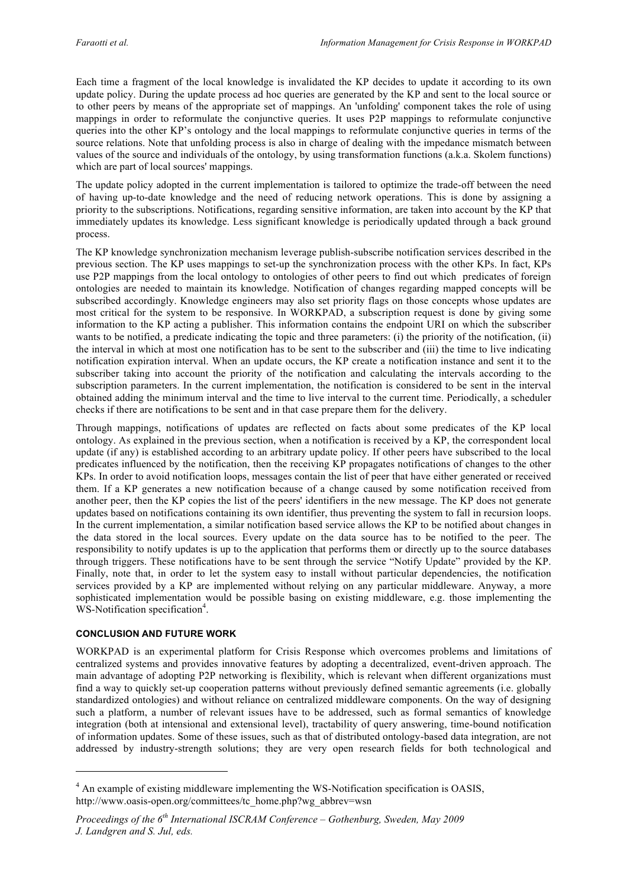Each time a fragment of the local knowledge is invalidated the KP decides to update it according to its own update policy. During the update process ad hoc queries are generated by the KP and sent to the local source or to other peers by means of the appropriate set of mappings. An 'unfolding' component takes the role of using mappings in order to reformulate the conjunctive queries. It uses P2P mappings to reformulate conjunctive queries into the other KP's ontology and the local mappings to reformulate conjunctive queries in terms of the source relations. Note that unfolding process is also in charge of dealing with the impedance mismatch between values of the source and individuals of the ontology, by using transformation functions (a.k.a. Skolem functions) which are part of local sources' mappings.

The update policy adopted in the current implementation is tailored to optimize the trade-off between the need of having up-to-date knowledge and the need of reducing network operations. This is done by assigning a priority to the subscriptions. Notifications, regarding sensitive information, are taken into account by the KP that immediately updates its knowledge. Less significant knowledge is periodically updated through a back ground process.

The KP knowledge synchronization mechanism leverage publish-subscribe notification services described in the previous section. The KP uses mappings to set-up the synchronization process with the other KPs. In fact, KPs use P2P mappings from the local ontology to ontologies of other peers to find out which predicates of foreign ontologies are needed to maintain its knowledge. Notification of changes regarding mapped concepts will be subscribed accordingly. Knowledge engineers may also set priority flags on those concepts whose updates are most critical for the system to be responsive. In WORKPAD, a subscription request is done by giving some information to the KP acting a publisher. This information contains the endpoint URI on which the subscriber wants to be notified, a predicate indicating the topic and three parameters: (i) the priority of the notification, (ii) the interval in which at most one notification has to be sent to the subscriber and (iii) the time to live indicating notification expiration interval. When an update occurs, the KP create a notification instance and sent it to the subscriber taking into account the priority of the notification and calculating the intervals according to the subscription parameters. In the current implementation, the notification is considered to be sent in the interval obtained adding the minimum interval and the time to live interval to the current time. Periodically, a scheduler checks if there are notifications to be sent and in that case prepare them for the delivery.

Through mappings, notifications of updates are reflected on facts about some predicates of the KP local ontology. As explained in the previous section, when a notification is received by a KP, the correspondent local update (if any) is established according to an arbitrary update policy. If other peers have subscribed to the local predicates influenced by the notification, then the receiving KP propagates notifications of changes to the other KPs. In order to avoid notification loops, messages contain the list of peer that have either generated or received them. If a KP generates a new notification because of a change caused by some notification received from another peer, then the KP copies the list of the peers' identifiers in the new message. The KP does not generate updates based on notifications containing its own identifier, thus preventing the system to fall in recursion loops. In the current implementation, a similar notification based service allows the KP to be notified about changes in the data stored in the local sources. Every update on the data source has to be notified to the peer. The responsibility to notify updates is up to the application that performs them or directly up to the source databases through triggers. These notifications have to be sent through the service "Notify Update" provided by the KP. Finally, note that, in order to let the system easy to install without particular dependencies, the notification services provided by a KP are implemented without relying on any particular middleware. Anyway, a more sophisticated implementation would be possible basing on existing middleware, e.g. those implementing the WS-Notification specification<sup>4</sup>.

# **CONCLUSION AND FUTURE WORK**

 $\overline{\phantom{a}}$ 

WORKPAD is an experimental platform for Crisis Response which overcomes problems and limitations of centralized systems and provides innovative features by adopting a decentralized, event-driven approach. The main advantage of adopting P2P networking is flexibility, which is relevant when different organizations must find a way to quickly set-up cooperation patterns without previously defined semantic agreements (i.e. globally standardized ontologies) and without reliance on centralized middleware components. On the way of designing such a platform, a number of relevant issues have to be addressed, such as formal semantics of knowledge integration (both at intensional and extensional level), tractability of query answering, time-bound notification of information updates. Some of these issues, such as that of distributed ontology-based data integration, are not addressed by industry-strength solutions; they are very open research fields for both technological and

<sup>&</sup>lt;sup>4</sup> An example of existing middleware implementing the WS-Notification specification is OASIS, http://www.oasis-open.org/committees/tc\_home.php?wg\_abbrev=wsn

*Proceedings of the 6th International ISCRAM Conference – Gothenburg, Sweden, May 2009 J. Landgren and S. Jul, eds.*